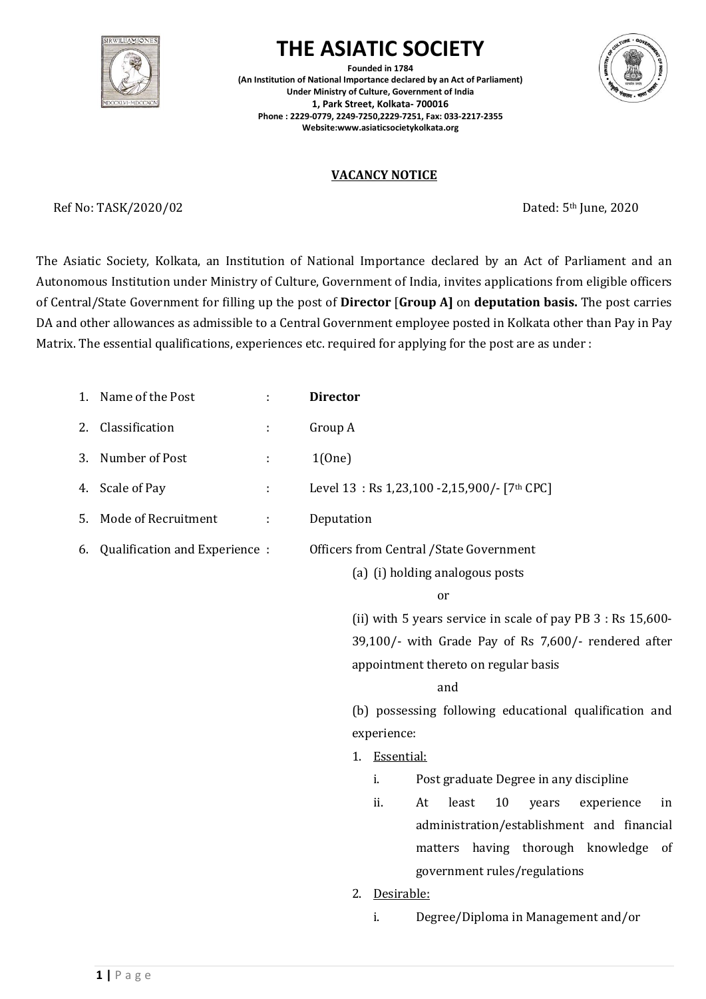

# **THE ASIATIC SOCIETY**

**Founded in 1784 (An Institution of National Importance declared by an Act of Parliament) Under Ministry of Culture, Government of India 1, Park Street, Kolkata- 700016 Phone : 2229-0779, 2249-7250,2229-7251, Fax: 033-2217-2355 Website:www.asiaticsocietykolkata.org**



# **VACANCY NOTICE**

Ref No: TASK/2020/02 Dated: 5<sup>th</sup> June, 2020

The Asiatic Society, Kolkata, an Institution of National Importance declared by an Act of Parliament and an Autonomous Institution under Ministry of Culture, Government of India, invites applications from eligible officers of Central/State Government for filling up the post of **Director** [**Group A]** on **deputation basis.** The post carries DA and other allowances as admissible to a Central Government employee posted in Kolkata other than Pay in Pay Matrix. The essential qualifications, experiences etc. required for applying for the post are as under :

| Name of the Post<br>1.              | ÷ | <b>Director</b>                                                |
|-------------------------------------|---|----------------------------------------------------------------|
| Classification<br>2.                | ÷ | Group A                                                        |
| Number of Post<br>3.                | ÷ | 1(One)                                                         |
| Scale of Pay<br>4.                  | ÷ | Level 13: Rs 1,23,100 - 2,15,900/- [7th CPC]                   |
| Mode of Recruitment<br>5.           | ÷ | Deputation                                                     |
| Qualification and Experience:<br>6. |   | <b>Officers from Central /State Government</b>                 |
|                                     |   | (a) (i) holding analogous posts                                |
|                                     |   | or                                                             |
|                                     |   | (ii) with 5 years service in scale of pay PB $3:$ Rs $15,600-$ |
|                                     |   | 39,100/- with Grade Pay of Rs 7,600/- rendered after           |
|                                     |   | appointment thereto on regular basis                           |
|                                     |   | and                                                            |
|                                     |   | (b) possessing following educational qualification and         |
|                                     |   | experience:                                                    |
|                                     |   | 1. Essential:                                                  |
|                                     |   | Post graduate Degree in any discipline<br>i.                   |
|                                     |   | least<br>10<br>ii.<br>At<br>experience<br>years<br>in          |
|                                     |   | administration/establishment and financial                     |
|                                     |   | matters having thorough knowledge of                           |
|                                     |   | government rules/regulations                                   |
|                                     |   | Desirable:<br>2.                                               |
|                                     |   | Degree/Diploma in Management and/or<br>i.                      |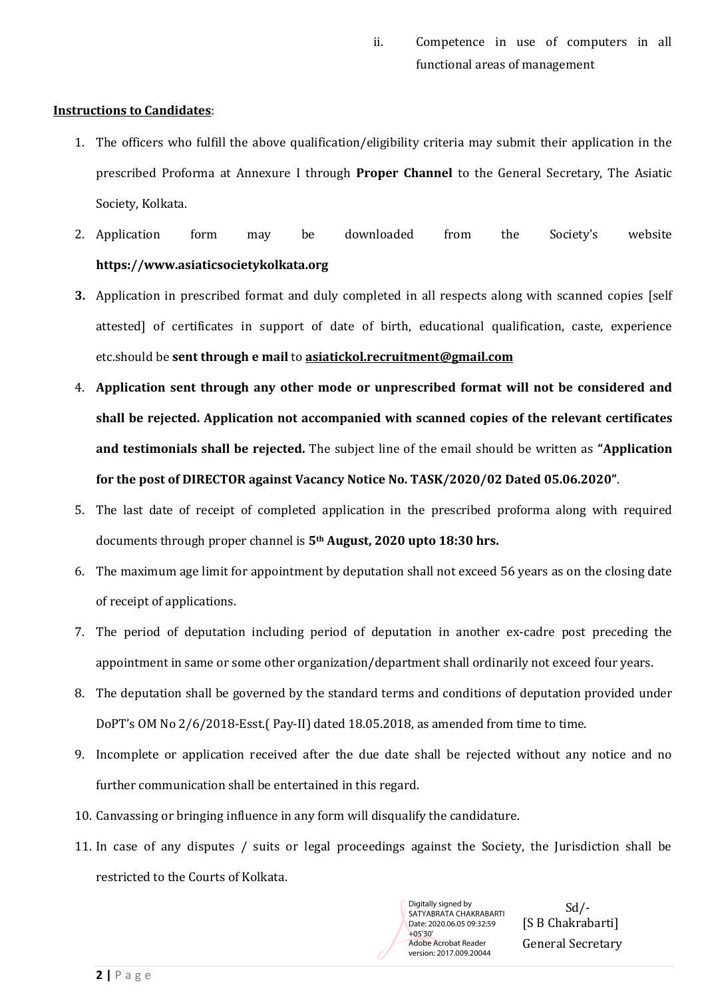ii. Competence in use of computers in all functional areas of management

#### **Instructions to Candidates**:

- 1. The officers who fulfill the above qualification/eligibility criteria may submit their application in the prescribed Proforma at Annexure I through **Proper Channel** to the General Secretary, The Asiatic Society, Kolkata.
- 2. Application form may be downloaded from the Society's website **https:/[/www.asiaticsocietykolkata.org](http://www.asiaticsocietykolkata.org/)**
- **3.** Application in prescribed format and duly completed in all respects along with scanned copies [self attested] of certificates in support of date of birth, educational qualification, caste, experience etc.should be **sent through e mail** to **asiatickol.recruitment@gmail.com**
- 4. **Application sent through any other mode or unprescribed format will not be considered and shall be rejected. Application not accompanied with scanned copies of the relevant certificates and testimonials shall be rejected.** The subject line of the email should be written as **"Application for the post of DIRECTOR against Vacancy Notice No. TASK/2020/02 Dated 05.06.2020"**.
- 5. The last date of receipt of completed application in the prescribed proforma along with required documents through proper channel is **5th August, 2020 upto 18:30 hrs.**
- 6. The maximum age limit for appointment by deputation shall not exceed 56 years as on the closing date of receipt of applications.
- 7. The period of deputation including period of deputation in another ex-cadre post preceding the appointment in same or some other organization/department shall ordinarily not exceed four years.
- 8. The deputation shall be governed by the standard terms and conditions of deputation provided under DoPT's OM No 2/6/2018-Esst.( Pay-II) dated 18.05.2018, as amended from time to time.
- 9. Incomplete or application received after the due date shall be rejected without any notice and no further communication shall be entertained in this regard.
- 10. Canvassing or bringing influence in any form will disqualify the candidature.
- 11. In case of any disputes / suits or legal proceedings against the Society, the Jurisdiction shall be restricted to the Courts of Kolkata.

SATYABRATA CHAKRABARTI Date: 2020.06.05 09:32:59 +05'30' Adobe Acrobat Reader version: 2017.009.20044

Sd/- [S B Chakrabarti] Digitally signed by SATYABRATA CHAKRABARTI<br>Date: 2020.06.05 09:32:59 [S B Chakrabarti]<br><del>105'30'</del> [General Secretary]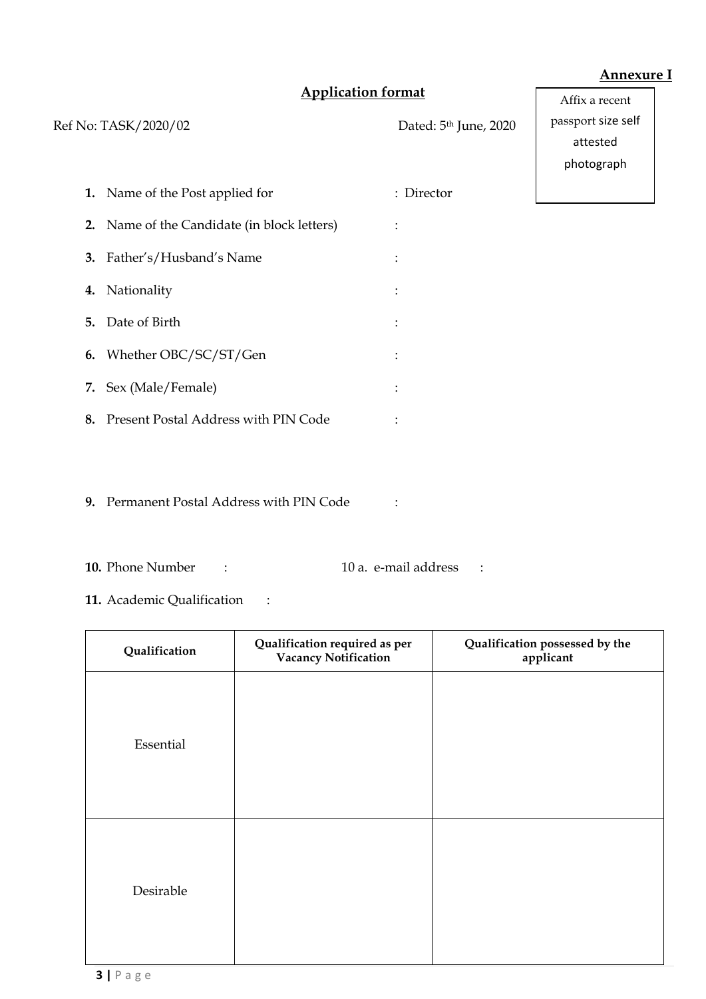## **Annexure I**

Affix a recent

# **Application format**

Ref No: TASK/2020/02 Dated: 5<sup>th</sup> June, 2020 **1.** Name of the Post applied for : Director **2.** Name of the Candidate (in block letters) : **3.** Father's/Husband's Name : **4.** Nationality : **5.** Date of Birth : **6.** Whether OBC/SC/ST/Gen : **7.** Sex (Male/Female) : **8.** Present Postal Address with PIN Code : passport size self attested photograph

**9.** Permanent Postal Address with PIN Code :

- **10.** Phone Number : 10 a. e-mail address :
- **11.** Academic Qualification :

| Qualification | Qualification required as per<br><b>Vacancy Notification</b> | Qualification possessed by the<br>applicant |
|---------------|--------------------------------------------------------------|---------------------------------------------|
| Essential     |                                                              |                                             |
| Desirable     |                                                              |                                             |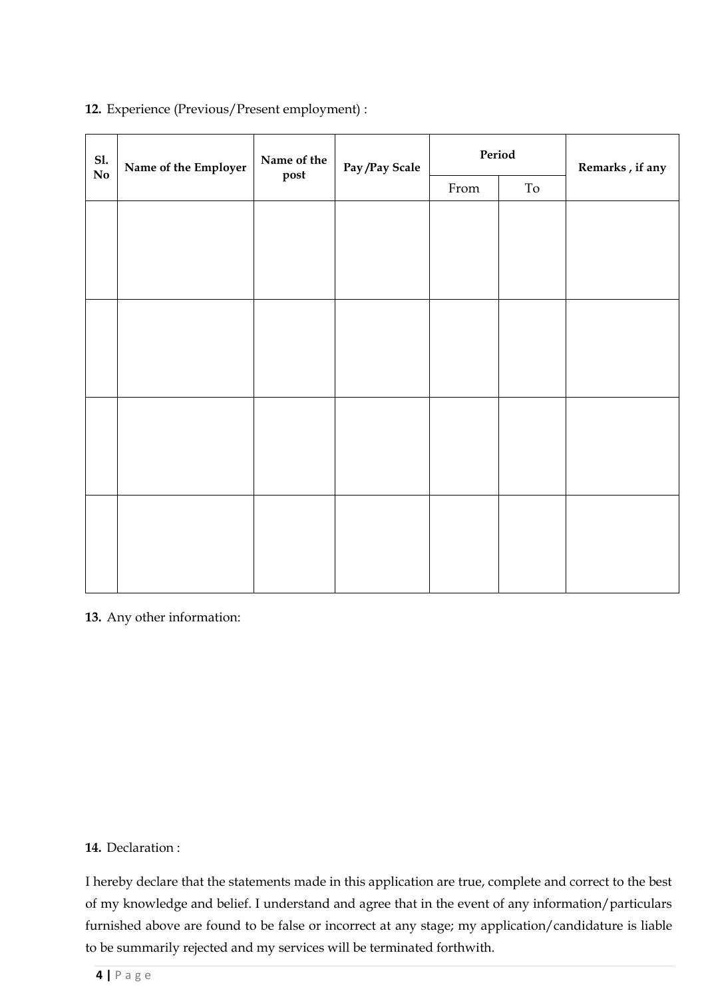| S1.                    | Name of the Employer<br>post | Name of the | Pay/Pay Scale              | $\ensuremath{\mathbf{Period}}\xspace$ |  | Remarks, if any |
|------------------------|------------------------------|-------------|----------------------------|---------------------------------------|--|-----------------|
| $\mathbf{N}\mathbf{o}$ |                              |             | $\ensuremath{\text{From}}$ | $\operatorname{To}$                   |  |                 |
|                        |                              |             |                            |                                       |  |                 |
|                        |                              |             |                            |                                       |  |                 |
|                        |                              |             |                            |                                       |  |                 |
|                        |                              |             |                            |                                       |  |                 |
|                        |                              |             |                            |                                       |  |                 |
|                        |                              |             |                            |                                       |  |                 |
|                        |                              |             |                            |                                       |  |                 |
|                        |                              |             |                            |                                       |  |                 |
|                        |                              |             |                            |                                       |  |                 |
|                        |                              |             |                            |                                       |  |                 |
|                        |                              |             |                            |                                       |  |                 |
|                        |                              |             |                            |                                       |  |                 |
|                        |                              |             |                            |                                       |  |                 |
|                        |                              |             |                            |                                       |  |                 |
|                        |                              |             |                            |                                       |  |                 |

# **12.** Experience (Previous/Present employment) :

**13.** Any other information:

### **14.** Declaration :

I hereby declare that the statements made in this application are true, complete and correct to the best of my knowledge and belief. I understand and agree that in the event of any information/particulars furnished above are found to be false or incorrect at any stage; my application/candidature is liable to be summarily rejected and my services will be terminated forthwith.